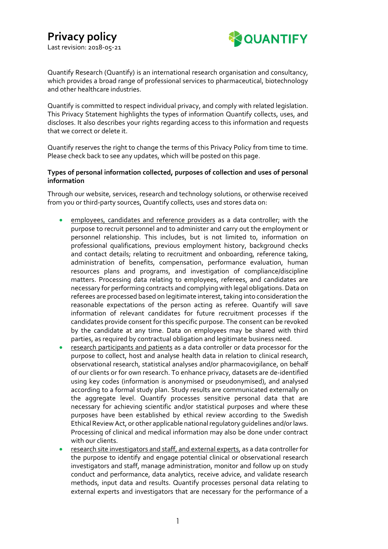

Quantify Research (Quantify) is an international research organisation and consultancy, which provides a broad range of professional services to pharmaceutical, biotechnology and other healthcare industries.

Quantify is committed to respect individual privacy, and comply with related legislation. This Privacy Statement highlights the types of information Quantify collects, uses, and discloses. It also describes your rights regarding access to this information and requests that we correct or delete it.

Quantify reserves the right to change the terms of this Privacy Policy from time to time. Please check back to see any updates, which will be posted on this page.

# **Types of personal information collected, purposes of collection and uses of personal information**

Through our website, services, research and technology solutions, or otherwise received from you or third-party sources, Quantify collects, uses and stores data on:

- employees, candidates and reference providers as a data controller; with the purpose to recruit personnel and to administer and carry out the employment or personnel relationship. This includes, but is not limited to, information on professional qualifications, previous employment history, background checks and contact details; relating to recruitment and onboarding, reference taking, administration of benefits, compensation, performance evaluation, human resources plans and programs, and investigation of compliance/discipline matters. Processing data relating to employees, referees, and candidates are necessary for performing contracts and complying with legal obligations.Data on referees are processed based on legitimate interest, taking into consideration the reasonable expectations of the person acting as referee. Quantify will save information of relevant candidates for future recruitment processes if the candidates provide consent for this specific purpose. The consent can be revoked by the candidate at any time. Data on employees may be shared with third parties, as required by contractual obligation and legitimate business need.
- research participants and patients as a data controller or data processor for the purpose to collect, host and analyse health data in relation to clinical research, observational research, statistical analyses and/or pharmacovigilance, on behalf of our clients or for own research. To enhance privacy, datasets are de-identified using key codes (information is anonymised or pseudonymised), and analysed according to a formal study plan. Study results are communicated externally on the aggregate level. Quantify processes sensitive personal data that are necessary for achieving scientific and/or statistical purposes and where these purposes have been established by ethical review according to the Swedish Ethical Review Act, or other applicable national regulatory guidelines and/or laws. Processing of clinical and medical information may also be done under contract with our clients.
- research site investigators and staff, and external experts, as a data controller for the purpose to identify and engage potential clinical or observational research investigators and staff, manage administration, monitor and follow up on study conduct and performance, data analytics, receive advice, and validate research methods, input data and results. Quantify processes personal data relating to external experts and investigators that are necessary for the performance of a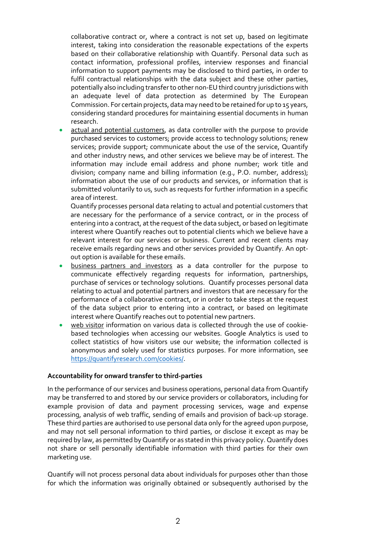collaborative contract or, where a contract is not set up, based on legitimate interest, taking into consideration the reasonable expectations of the experts based on their collaborative relationship with Quantify. Personal data such as contact information, professional profiles, interview responses and financial information to support payments may be disclosed to third parties, in order to fulfil contractual relationships with the data subject and these other parties, potentially also including transfer to other non-EU third country jurisdictions with an adequate level of data protection as determined by The European Commission. For certain projects, data may need to be retained for up to 15 years, considering standard procedures for maintaining essential documents in human research.

actual and potential customers, as data controller with the purpose to provide purchased services to customers; provide access to technology solutions; renew services; provide support; communicate about the use of the service, Quantify and other industry news, and other services we believe may be of interest. The information may include email address and phone number; work title and division; company name and billing information (e.g., P.O. number, address); information about the use of our products and services, or information that is submitted voluntarily to us, such as requests for further information in a specific area of interest.

Quantify processes personal data relating to actual and potential customers that are necessary for the performance of a service contract, or in the process of entering into a contract, at the request of the data subject, or based on legitimate interest where Quantify reaches out to potential clients which we believe have a relevant interest for our services or business. Current and recent clients may receive emails regarding news and other services provided by Quantify. An optout option is available for these emails.

- business partners and investors as a data controller for the purpose to communicate effectively regarding requests for information, partnerships, purchase of services or technology solutions. Quantify processes personal data relating to actual and potential partners and investors that are necessary for the performance of a collaborative contract, or in order to take steps at the request of the data subject prior to entering into a contract, or based on legitimate interest where Quantify reaches out to potential new partners.
- web visitor information on various data is collected through the use of cookiebased technologies when accessing our websites. Google Analytics is used to collect statistics of how visitors use our website; the information collected is anonymous and solely used for statistics purposes. For more information, see [https://quantifyresearch.com/cookies/.](https://quantifyresearch.com/cookies/)

## **Accountability for onward transfer to third-parties**

In the performance of our services and business operations, personal data from Quantify may be transferred to and stored by our service providers or collaborators, including for example provision of data and payment processing services, wage and expense processing, analysis of web traffic, sending of emails and provision of back-up storage. These third parties are authorised to use personal data only for the agreed upon purpose, and may not sell personal information to third parties, or disclose it except as may be required by law, as permitted by Quantify or as stated in this privacy policy. Quantify does not share or sell personally identifiable information with third parties for their own marketing use.

Quantify will not process personal data about individuals for purposes other than those for which the information was originally obtained or subsequently authorised by the